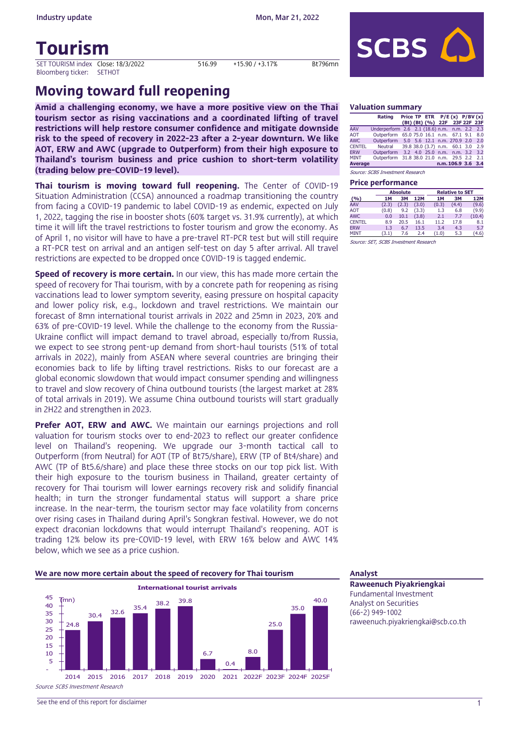**Industry update** Mon, Mar 21, 2022

# Tourism

SET TOURISM index Close: 18/3/2022 516.99 +15.90 / +3.17% Bt796mn Bloomberg ticker: SETHOT



# Moving toward full reopening

Amid a challenging economy, we have a more positive view on the Thai tourism sector as rising vaccinations and a coordinated lifting of travel restrictions will help restore consumer confidence and mitigate downside risk to the speed of recovery in 2022-23 after a 2-year downturn. We like AOT, ERW and AWC (upgrade to Outperform) from their high exposure to Thailand's tourism business and price cushion to short-term volatility (trading below pre-COVID-19 level).

Thai tourism is moving toward full reopening. The Center of COVID-19 Situation Administration (CCSA) announced a roadmap transitioning the country from facing a COVID-19 pandemic to label COVID-19 as endemic, expected on July 1, 2022, tagging the rise in booster shots (60% target vs. 31.9% currently), at which time it will lift the travel restrictions to foster tourism and grow the economy. As of April 1, no visitor will have to have a pre-travel RT-PCR test but will still require a RT-PCR test on arrival and an antigen self-test on day 5 after arrival. All travel restrictions are expected to be dropped once COVID-19 is tagged endemic.

**Speed of recovery is more certain.** In our view, this has made more certain the speed of recovery for Thai tourism, with by a concrete path for reopening as rising vaccinations lead to lower symptom severity, easing pressure on hospital capacity and lower policy risk, e.g., lockdown and travel restrictions. We maintain our forecast of 8mn international tourist arrivals in 2022 and 25mn in 2023, 20% and 63% of pre-COVID-19 level. While the challenge to the economy from the Russia-Ukraine conflict will impact demand to travel abroad, especially to/from Russia, we expect to see strong pent-up demand from short-haul tourists (51% of total arrivals in 2022), mainly from ASEAN where several countries are bringing their economies back to life by lifting travel restrictions. Risks to our forecast are a global economic slowdown that would impact consumer spending and willingness to travel and slow recovery of China outbound tourists (the largest market at 28% of total arrivals in 2019). We assume China outbound tourists will start gradually in 2H22 and strengthen in 2023.

**Prefer AOT, ERW and AWC.** We maintain our earnings projections and roll valuation for tourism stocks over to end-2023 to reflect our greater confidence level on Thailand's reopening. We upgrade our 3-month tactical call to Outperform (from Neutral) for AOT (TP of Bt75/share), ERW (TP of Bt4/share) and AWC (TP of Bt5.6/share) and place these three stocks on our top pick list. With their high exposure to the tourism business in Thailand, greater certainty of recovery for Thai tourism will lower earnings recovery risk and solidify financial health; in turn the stronger fundamental status will support a share price increase. In the near-term, the tourism sector may face volatility from concerns over rising cases in Thailand during April's Songkran festival. However, we do not expect draconian lockdowns that would interrupt Thailand's reopening. AOT is trading 12% below its pre-COVID-19 level, with ERW 16% below and AWC 14% below, which we see as a price cushion.



### Valuation summary

|                | Rating                                        |  |  | Price TP ETR $P/E(x)$ $P/BV(x)$<br>(Bt) (Bt) (%) 22F 23F 22F 23F |     |
|----------------|-----------------------------------------------|--|--|------------------------------------------------------------------|-----|
| AAV            | Underperform 2.6 2.1 (18.6) n.m. n.m. 2.2 2.3 |  |  |                                                                  |     |
| <b>AOT</b>     | Outperform 65.0 75.0 16.1 n.m. 67.1 9.1       |  |  |                                                                  | 8.0 |
| <b>AWC</b>     | Outperform 5.0 5.6 12.1 n.m. 270.9 2.0        |  |  |                                                                  | 2.0 |
| <b>CENTEL</b>  | Neutral 39.8 38.0 (3.7) n.m. 60.1 3.0         |  |  |                                                                  | 2.9 |
| <b>ERW</b>     | Outperform                                    |  |  | 3.2 4.0 25.0 n.m. n.m. 3.2                                       | 3.2 |
| <b>MINT</b>    | Outperform 31.8 38.0 21.0 n.m. 29.5 2.2       |  |  |                                                                  | 2.1 |
| <b>Average</b> |                                               |  |  | n.m. 106.9 3.6 3.4                                               |     |

Source: SCBS Investment Research

### Price performance

|               |           | <b>Absolute</b> |       |       | <b>Relative to SET</b> |            |
|---------------|-----------|-----------------|-------|-------|------------------------|------------|
| (9/6)         | <b>1M</b> | <b>3M</b>       | 12M   | 1M    | <b>3M</b>              | <b>12M</b> |
| AAV           | (2.3)     | (2.3)           | (3.0) | (0.3) | (4.4)                  | (9.6)      |
| <b>AOT</b>    | (0.8)     | 9.2             | (3.3) | 1.3   | 6.8                    | (9.9)      |
| <b>AWC</b>    | 0.0       | 10.1            | (3.8) | 2.1   | 7.7                    | (10.4)     |
| <b>CENTEL</b> | 8.9       | 20.5            | 16.1  | 11.2  | 17.8                   | 8.1        |
| <b>ERW</b>    | 1.3       | 6.7             | 13.5  | 3.4   | 4.3                    | 5.7        |
| <b>MINT</b>   | (3.1)     | 7.6             | 2.4   | (1.0) | 5.3                    | (4.6)      |
| $\sim$ $\sim$ |           |                 |       |       |                        |            |

Source: SET, SCBS Investment Research

Raweenuch Piyakriengkai Fundamental Investment Analyst on Securities (66-2) 949-1002 raweenuch.piyakriengkai@scb.co.th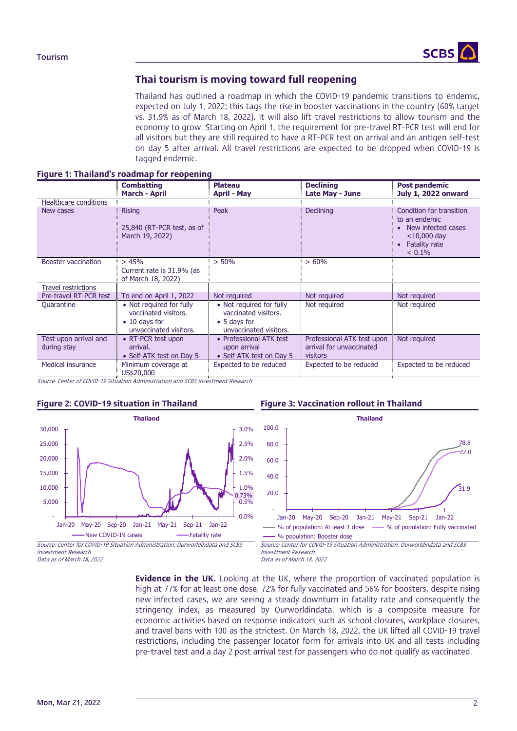

# Thai tourism is moving toward full reopening

Thailand has outlined a roadmap in which the COVID-19 pandemic transitions to endemic, expected on July 1, 2022; this tags the rise in booster vaccinations in the country (60% target vs. 31.9% as of March 18, 2022). It will also lift travel restrictions to allow tourism and the economy to grow. Starting on April 1, the requirement for pre-travel RT-PCR test will end for all visitors but they are still required to have a RT-PCR test on arrival and an antigen self-test on day 5 after arrival. All travel restrictions are expected to be dropped when COVID-19 is tagged endemic.

|  |  |  | Figure 1: Thailand's roadmap for reopening |
|--|--|--|--------------------------------------------|
|--|--|--|--------------------------------------------|

|                                      | <b>Combatting</b><br><b>March - April</b>                                                           | <b>Plateau</b><br><b>April - May</b>                                                       | <b>Declining</b><br>Late May - June                                       | Post pandemic<br><b>July 1, 2022 onward</b>                                                                         |
|--------------------------------------|-----------------------------------------------------------------------------------------------------|--------------------------------------------------------------------------------------------|---------------------------------------------------------------------------|---------------------------------------------------------------------------------------------------------------------|
| Healthcare conditions                |                                                                                                     |                                                                                            |                                                                           |                                                                                                                     |
| New cases                            | <b>Rising</b><br>25,840 (RT-PCR test, as of<br>March 19, 2022)                                      | Peak                                                                                       | <b>Declining</b>                                                          | Condition for transition<br>to an endemic<br>• New infected cases<br>$<$ 10,000 day<br>• Fatality rate<br>$< 0.1\%$ |
| Booster vaccination                  | > 45%<br>Current rate is 31.9% (as<br>of March 18, 2022)                                            | $> 50\%$                                                                                   | >60%                                                                      |                                                                                                                     |
| <b>Travel restrictions</b>           |                                                                                                     |                                                                                            |                                                                           |                                                                                                                     |
| Pre-travel RT-PCR test               | To end on April 1, 2022                                                                             | Not required                                                                               | Not required                                                              | Not required                                                                                                        |
| Quarantine                           | • Not required for fully<br>vaccinated visitors.<br>$\bullet$ 10 days for<br>unvaccinated visitors. | • Not required for fully<br>vaccinated visitors.<br>• 5 days for<br>unvaccinated visitors. | Not required                                                              | Not required                                                                                                        |
| Test upon arrival and<br>during stay | • RT-PCR test upon<br>arrival.<br>• Self-ATK test on Day 5                                          | • Professional ATK test<br>upon arrival<br>• Self-ATK test on Day 5                        | Professional ATK test upon<br>arrival for unvaccinated<br><b>visitors</b> | Not required                                                                                                        |
| Medical insurance                    | Minimum coverage at<br>US\$20,000                                                                   | Expected to be reduced                                                                     | Expected to be reduced                                                    | Expected to be reduced                                                                                              |

Source*:* Center of COVID-19 Situation Administration and SCBS Investment Research



### Figure 2: COVID-19 situation in Thailand Figure 3: Vaccination rollout in Thailand



Investment Research Data as of March 18, 2022  Source: Center for COVID-19 Situation Administration, Ourworldindata and SCBS Investment Research Data as of March 18, 2022

**Evidence in the UK.** Looking at the UK, where the proportion of vaccinated population is high at 77% for at least one dose, 72% for fully vaccinated and 56% for boosters, despite rising new infected cases, we are seeing a steady downturn in fatality rate and consequently the stringency index, as measured by Ourworldindata, which is a composite measure for economic activities based on response indicators such as school closures, workplace closures, and travel bans with 100 as the strictest. On March 18, 2022, the UK lifted all COVID-19 travel restrictions, including the passenger locator form for arrivals into UK and all tests including pre-travel test and a day 2 post arrival test for passengers who do not qualify as vaccinated.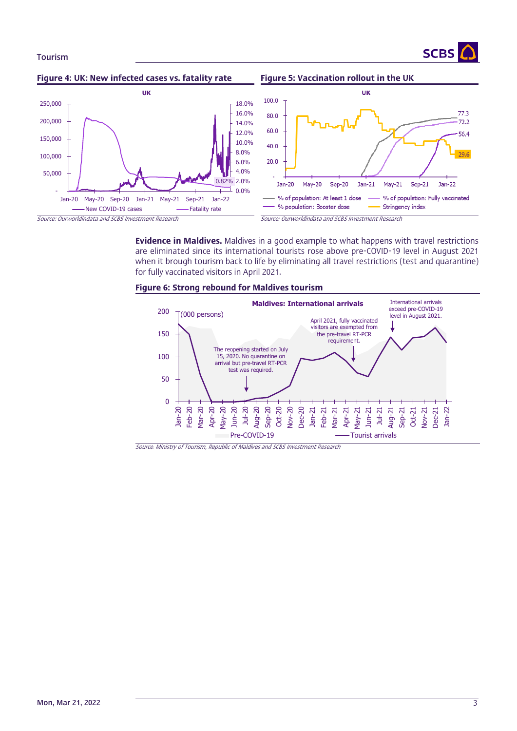



**Evidence in Maldives.** Maldives in a good example to what happens with travel restrictions are eliminated since its international tourists rose above pre-COVID-19 level in August 2021 when it brough tourism back to life by eliminating all travel restrictions (test and quarantine) for fully vaccinated visitors in April 2021.





Source*:* Ministry of Tourism, Republic of Maldives and SCBS Investment Research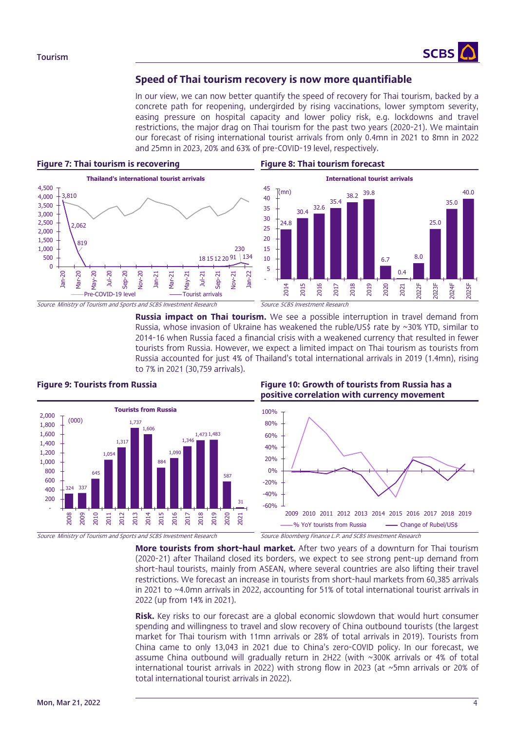

# Speed of Thai tourism recovery is now more quantifiable

In our view, we can now better quantify the speed of recovery for Thai tourism, backed by a concrete path for reopening, undergirded by rising vaccinations, lower symptom severity, easing pressure on hospital capacity and lower policy risk, e.g. lockdowns and travel restrictions, the major drag on Thai tourism for the past two years (2020-21). We maintain our forecast of rising international tourist arrivals from only 0.4mn in 2021 to 8mn in 2022 and 25mn in 2023, 20% and 63% of pre-COVID-19 level, respectively.

### Figure 7: Thai tourism is recovering Figure 8: Thai tourism forecast





**Russia impact on Thai tourism.** We see a possible interruption in travel demand from Russia, whose invasion of Ukraine has weakened the ruble/US\$ rate by  $\sim$ 30% YTD, similar to 2014-16 when Russia faced a financial crisis with a weakened currency that resulted in fewer tourists from Russia. However, we expect a limited impact on Thai tourism as tourists from Russia accounted for just 4% of Thailand's total international arrivals in 2019 (1.4mn), rising to 7% in 2021 (30,759 arrivals).



Source*:* Ministry of Tourism and Sports and SCBS Investment Research Source*:* Bloomberg Finance L.P. and SCBS Investment Research

# Figure 9: Tourists from Russia Figure 10: Growth of tourists from Russia has a positive correlation with currency movement



More tourists from short-haul market. After two years of a downturn for Thai tourism (2020-21) after Thailand closed its borders, we expect to see strong pent-up demand from short-haul tourists, mainly from ASEAN, where several countries are also lifting their travel restrictions. We forecast an increase in tourists from short-haul markets from 60,385 arrivals in 2021 to ~4.0mn arrivals in 2022, accounting for 51% of total international tourist arrivals in 2022 (up from 14% in 2021).

**Risk.** Key risks to our forecast are a global economic slowdown that would hurt consumer spending and willingness to travel and slow recovery of China outbound tourists (the largest market for Thai tourism with 11mn arrivals or 28% of total arrivals in 2019). Tourists from China came to only 13,043 in 2021 due to China's zero-COVID policy. In our forecast, we assume China outbound will gradually return in 2H22 (with ~300K arrivals or 4% of total international tourist arrivals in 2022) with strong flow in 2023 (at ~5mn arrivals or 20% of total international tourist arrivals in 2022).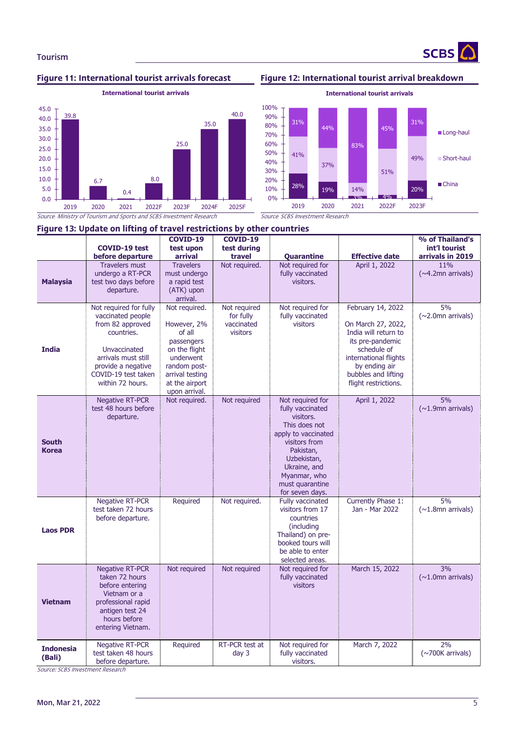

**SCBS** 



**International tourist arrivals**

28% 19%  $2^{10}$ 20% 41% 37% 14% 51% 49% 31% 44% 83% 45% 31% 0% 10% 20% 30% 40% 50% 60% 70% 80% 90% 100% 2019 2020 2021 2022F 2023F **International tourist arrivals** Long-haul Short-haul ■ China

Source*: Ministry of Tourism and Sports and SCBS Investment Research* Source: *SCBS Investment Research* 

|                              | Figure 13: Update on lifting of travel restrictions by other countries                                                                                                                |                                                                                                                                                          |                                                     |                                                                                                                                                                                                              |                                                                                                                                                                                             |                                                      |  |  |  |  |  |  |  |
|------------------------------|---------------------------------------------------------------------------------------------------------------------------------------------------------------------------------------|----------------------------------------------------------------------------------------------------------------------------------------------------------|-----------------------------------------------------|--------------------------------------------------------------------------------------------------------------------------------------------------------------------------------------------------------------|---------------------------------------------------------------------------------------------------------------------------------------------------------------------------------------------|------------------------------------------------------|--|--|--|--|--|--|--|
|                              | <b>COVID-19 test</b><br>before departure                                                                                                                                              | COVID-19<br>test upon<br>arrival                                                                                                                         | <b>COVID-19</b><br>test during<br>travel            | Quarantine                                                                                                                                                                                                   | <b>Effective date</b>                                                                                                                                                                       | % of Thailand's<br>int'l tourist<br>arrivals in 2019 |  |  |  |  |  |  |  |
| <b>Malaysia</b>              | <b>Travelers must</b><br>undergo a RT-PCR<br>test two days before<br>departure.                                                                                                       | <b>Travelers</b><br>must undergo<br>a rapid test<br>(ATK) upon<br>arrival.                                                                               | Not required.                                       | Not required for<br>fully vaccinated<br>visitors.                                                                                                                                                            | April 1, 2022                                                                                                                                                                               | 11%<br>$(\sim 4.2$ mn arrivals)                      |  |  |  |  |  |  |  |
| <b>India</b>                 | Not required for fully<br>vaccinated people<br>from 82 approved<br>countries.<br>Unvaccinated<br>arrivals must still<br>provide a negative<br>COVID-19 test taken<br>within 72 hours. | Not required.<br>However, 2%<br>of all<br>passengers<br>on the flight<br>underwent<br>random post-<br>arrival testing<br>at the airport<br>upon arrival. | Not required<br>for fully<br>vaccinated<br>visitors | Not required for<br>fully vaccinated<br>visitors                                                                                                                                                             | February 14, 2022<br>On March 27, 2022,<br>India will return to<br>its pre-pandemic<br>schedule of<br>international flights<br>by ending air<br>bubbles and lifting<br>flight restrictions. | 5%<br>$(\sim 2.0$ mn arrivals)                       |  |  |  |  |  |  |  |
| <b>South</b><br><b>Korea</b> | <b>Negative RT-PCR</b><br>test 48 hours before<br>departure.                                                                                                                          | Not required.                                                                                                                                            | Not required                                        | Not required for<br>fully vaccinated<br>visitors.<br>This does not<br>apply to vaccinated<br>visitors from<br>Pakistan,<br>Uzbekistan,<br>Ukraine, and<br>Myanmar, who<br>must quarantine<br>for seven days. | April 1, 2022                                                                                                                                                                               | 5%<br>$(\sim1.9$ mn arrivals)                        |  |  |  |  |  |  |  |
| <b>Laos PDR</b>              | <b>Negative RT-PCR</b><br>test taken 72 hours<br>before departure.                                                                                                                    | Required                                                                                                                                                 | Not required.                                       | Fully vaccinated<br>visitors from 17<br>countries<br>(including<br>Thailand) on pre-<br>booked tours will<br>be able to enter<br>selected areas.                                                             | Currently Phase 1:<br>Jan - Mar 2022                                                                                                                                                        | 5%<br>$(\sim1.8$ mn arrivals)                        |  |  |  |  |  |  |  |
| <b>Vietnam</b>               | <b>Negative RT-PCR</b><br>taken 72 hours<br>before entering<br>Vietnam or a<br>professional rapid<br>antigen test 24<br>hours before<br>entering Vietnam.                             | Not required                                                                                                                                             | Not required                                        | Not required for<br>fully vaccinated<br>visitors                                                                                                                                                             | March 15, 2022                                                                                                                                                                              | 3%<br>$(\sim1.0$ mn arrivals)                        |  |  |  |  |  |  |  |
| <b>Indonesia</b><br>(Bali)   | <b>Negative RT-PCR</b><br>test taken 48 hours<br>before departure.                                                                                                                    | Required                                                                                                                                                 | RT-PCR test at<br>day <sub>3</sub>                  | Not required for<br>fully vaccinated<br>visitors.                                                                                                                                                            | March 7, 2022                                                                                                                                                                               | 2%<br>$(\sim 700K$ arrivals)                         |  |  |  |  |  |  |  |

Source: SCBS Investment Research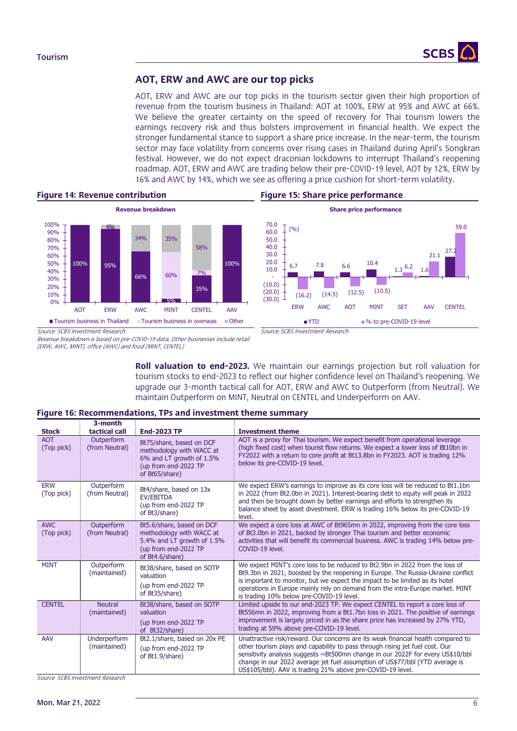

# AOT, ERW and AWC are our top picks

AOT, ERW and AWC are our top picks in the tourism sector given their high proportion of revenue from the tourism business in Thailand: AOT at 100%, ERW at 95% and AWC at 66%. We believe the greater certainty on the speed of recovery for Thai tourism lowers the earnings recovery risk and thus bolsters improvement in financial health. We expect the stronger fundamental stance to support a share price increase. In the near-term, the tourism sector may face volatility from concerns over rising cases in Thailand during April's Songkran festival. However, we do not expect draconian lockdowns to interrupt Thailand's reopening roadmap. AOT, ERW and AWC are trading below their pre-COVID-19 level, AOT by 12%, ERW by 16% and AWC by 14%, which we see as offering a price cushion for short-term volatility.





Revenue breakdown is based on pre-COVID-19 data. Other businesses include retail (ERW, AWC, MINT), office (AWC) and food (MINT, CENTEL)

> Roll valuation to end-2023. We maintain our earnings projection but roll valuation for tourism stocks to end-2023 to reflect our higher confidence level on Thailand's reopening. We upgrade our 3-month tactical call for AOT, ERW and AWC to Outperform (from Neutral). We maintain Outperform on MINT, Neutral on CENTEL and Underperform on AAV.

### Figure 16: Recommendations, TPs and investment theme summary

|                          | 3-month                        |                                                                                                                                |                                                                                                                                                                                                                                                                                                                                                                                                   |
|--------------------------|--------------------------------|--------------------------------------------------------------------------------------------------------------------------------|---------------------------------------------------------------------------------------------------------------------------------------------------------------------------------------------------------------------------------------------------------------------------------------------------------------------------------------------------------------------------------------------------|
| <b>Stock</b>             | tactical call                  | <b>End-2023 TP</b>                                                                                                             | <b>Investment theme</b>                                                                                                                                                                                                                                                                                                                                                                           |
| <b>AOT</b><br>(Top pick) | Outperform<br>(from Neutral)   | Bt75/share, based on DCF<br>methodology with WACC at<br>6% and LT growth of 1.5%<br>(up from end-2022 TP<br>of Bt65/share)     | AOT is a proxy for Thai tourism. We expect benefit from operational leverage<br>(high fixed cost) when tourist flow returns. We expect a lower loss of Bt10bn in<br>FY2022 with a return to core profit at Bt13.8bn in FY2023. AOT is trading 12%<br>below its pre-COVID-19 level.                                                                                                                |
| <b>ERW</b><br>(Top pick) | Outperform<br>(from Neutral)   | Bt4/share, based on 13x<br>EV/EBITDA<br>(up from end-2022 TP<br>of Bt3/share)                                                  | We expect ERW's earnings to improve as its core loss will be reduced to Bt1.1bn<br>in 2022 (from Bt2.0bn in 2021). Interest-bearing debt to equity will peak in 2022<br>and then be brought down by better earnings and efforts to strengthen its<br>balance sheet by asset divestment. ERW is trading 16% below its pre-COVID-19<br>level.                                                       |
| <b>AWC</b><br>(Top pick) | Outperform<br>(from Neutral)   | Bt5.6/share, based on DCF<br>methodology with WACC at<br>5.4% and LT growth of 1.5%<br>(up from end-2022 TP<br>of Bt4.6/share) | We expect a core loss at AWC of Bt965mn in 2022, improving from the core loss<br>of Bt3.0bn in 2021, backed by stronger Thai tourism and better economic<br>activities that will benefit its commercial business. AWC is trading 14% below pre-<br>COVID-19 level.                                                                                                                                |
| <b>MINT</b>              | Outperform<br>(maintained)     | Bt38/share, based on SOTP<br>valuation<br>(up from end-2022 TP<br>of Bt35/share)                                               | We expect MINT's core loss to be reduced to Bt2.9bn in 2022 from the loss of<br>Bt9.3bn in 2021, boosted by the reopening in Europe. The Russia-Ukraine conflict<br>is important to monitor, but we expect the impact to be limited as its hotel<br>operations in Europe mainly rely on demand from the intra-Europe market. MINT<br>is trading 10% below pre-COVID-19 level.                     |
| <b>CENTEL</b>            | <b>Neutral</b><br>(maintained) | Bt38/share, based on SOTP<br>valuation<br>(up from end-2022 TP<br>of Bt32/share)                                               | Limited upside to our end-2023 TP. We expect CENTEL to report a core loss of<br>Bt556mn in 2022, improving from a Bt1.7bn loss in 2021. The positive of earnings<br>improvement is largely priced in as the share price has increased by 27% YTD,<br>trading at 59% above pre-COVID-19 level.                                                                                                     |
| AAV                      | Underperform<br>(maintained)   | Bt2.1/share, based on 20x PE<br>(up from end-2022 TP<br>of Bt1.9/share)                                                        | Unattractive risk/reward. Our concerns are its weak financial health compared to<br>other tourism plays and capability to pass through rising jet fuel cost. Our<br>sensitivity analysis suggests ~Bt500mn change in our 2022F for every US\$10/bbl<br>change in our 2022 average jet fuel assumption of US\$77/bbl (YTD average is<br>US\$105/bbl). AAV is trading 21% above pre-COVID-19 level. |

Source*:* SCBS Investment Research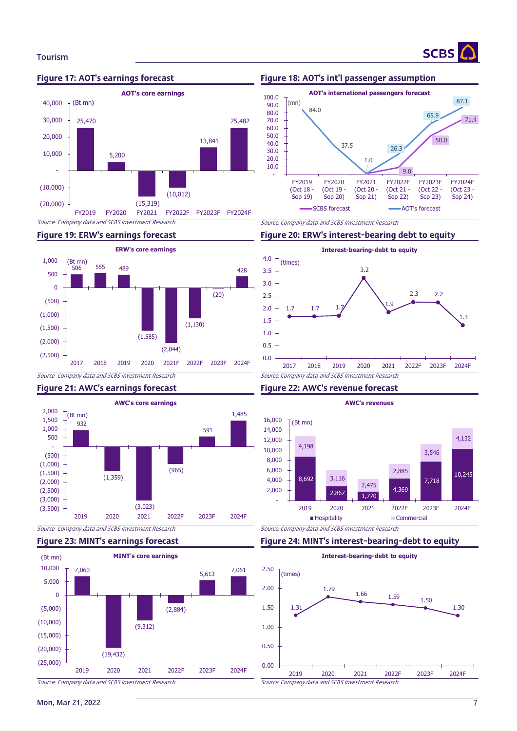

# Figure 17: AOT's earnings forecast Figure 18: AOT's int'l passenger assumption



**SCBS** 



# Figure 21: AWC's earnings forecast Figure 22: AWC's revenue forecast





### Figure 19: ERW's earnings forecast Figure 20: ERW's interest-bearing debt to equity



### 8,692 2,867 1,770 4,369 7,718 10,245 4,198 3,116 2,475 2,885 3,546 4,132 - 2,000 4,000 6,000 8,000 10,000 12,000 14,000 16,000 2019 2020 2021 2022F 2023F 2024F  $T(Bt \text{ mn})$ **AWC's revenues Hospitality** Commercial

Source*:* Company data and SCBS Investment Research Source*:* Company data and SCBS Investment Research

# Figure 23: MINT's earnings forecast Figure 24: MINT's interest-bearing-debt to equity



Mon, Mar 21, 2022 7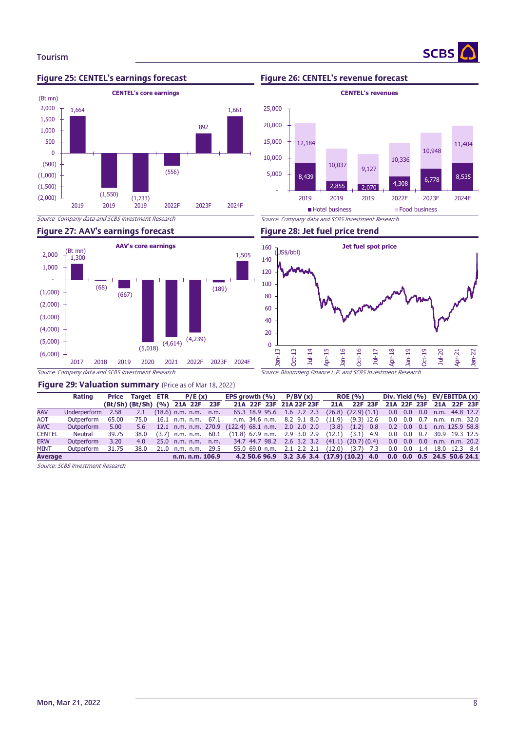

### Figure 25: CENTEL's earnings forecast Figure 26: CENTEL's revenue forecast



**SCBS** 



# Figure 27: AAV's earnings forecast Figure 28: Jet fuel price trend



### Figure 29: Valuation summary (Price as of Mar 18, 2022)

|                | Rating       |       |      | Price Target ETR $P/E(x)$                                    |  | EPS growth $(\%)$ P/BV $(x)$   |  |        | <b>ROE</b> (%)                                       |  | Div. Yield $(\%)$ EV/EBITDA $(x)$      |  |
|----------------|--------------|-------|------|--------------------------------------------------------------|--|--------------------------------|--|--------|------------------------------------------------------|--|----------------------------------------|--|
|                |              |       |      | (Bt/Sh) (Bt/Sh) (%) 21A 22F 23F                              |  | 21A 22F 23F 21A 22F 23F        |  | 21A    | 22F 23F                                              |  | 21A 22F 23F 21A 22F 23F                |  |
| <b>AAV</b>     | Underperform | 2.58  | 2.1  | $(18.6)$ n.m. n.m. n.m.                                      |  | 65.3 18.9 95.6 1.6 2.2 2.3     |  |        | $(26.8)$ $(22.9)$ $(1.1)$                            |  | $0.0$ $0.0$ $0.0$ $n.m.$ $44.8$ $12.7$ |  |
| <b>AOT</b>     | Outperform   | 65.00 | 75.0 | 16.1 n.m. n.m. $67.1$                                        |  | n.m. 34.6 n.m. 8.2 9.1 8.0     |  |        | $(11.9)$ $(9.3)$ 12.6                                |  | $0.0$ 0.0 0.7 n.m. n.m. 32.0           |  |
| <b>AWC</b>     | Outperform   | 5.00  |      | 5.6 12.1 n.m. n.m. 270.9 (122.4) 68.1 n.m. 2.0 2.0 2.0 (3.8) |  |                                |  |        | $(1.2)$ 0.8                                          |  | $0.2$ 0.0 0.1 n.m. 125.9 58.8          |  |
| <b>CENTEL</b>  | Neutral      | 39.75 | 38.0 | $(3.7)$ n.m. n.m. 60.1                                       |  | $(11.8)$ 67.9 n.m. 2.9 3.0 2.9 |  | (12.1) | $(3.1)$ 4.9                                          |  | 0.0 0.0 0.7 30.9 19.3 12.5             |  |
| <b>ERW</b>     | Outperform   | 3.20  | 4.0  | 25.0 n.m. n.m. n.m. 34.7 44.7 98.2 2.6 3.2 3.2               |  |                                |  |        | $(41.1)$ $(20.7)$ $(0.4)$ 0.0 0.0 0.0 n.m. n.m. 20.2 |  |                                        |  |
| <b>MINT</b>    | Outperform   | 31.75 | 38.0 | 21.0 n.m. n.m. 29.5                                          |  | 55.0 69.0 n.m. 2.1 2.2 2.1     |  | (12.0) | $(3.7)$ 7.3                                          |  | 0.0 0.0 1.4 18.0 12.3 8.4              |  |
| <b>Average</b> |              |       |      | n.m. n.m. 106.9                                              |  |                                |  |        | 4.2 50.6 96.9 3.2 3.6 3.4 (17.9) (10.2) 4.0          |  | 0.0 0.0 0.5 24.5 50.6 24.1             |  |

Source: SCBS Investment Research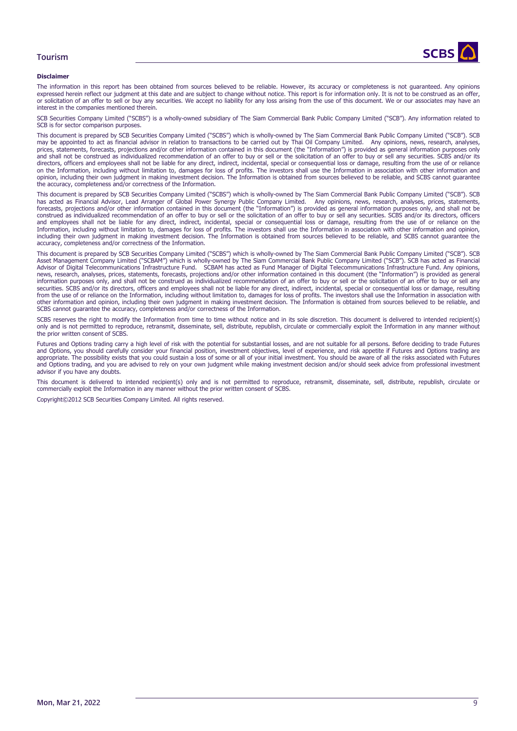

### **Disclaimer**

The information in this report has been obtained from sources believed to be reliable. However, its accuracy or completeness is not guaranteed. Any opinions expressed herein reflect our judgment at this date and are subject to change without notice. This report is for information only. It is not to be construed as an offer, or solicitation of an offer to sell or buy any securities. We accept no liability for any loss arising from the use of this document. We or our associates may have an interest in the companies mentioned therein.

SCB Securities Company Limited ("SCBS") is a wholly-owned subsidiary of The Siam Commercial Bank Public Company Limited ("SCB"). Any information related to SCB is for sector comparison purposes.

This document is prepared by SCB Securities Company Limited ("SCBS") which is wholly-owned by The Siam Commercial Bank Public Company Limited ("SCB"). SCB may be appointed to act as financial advisor in relation to transactions to be carried out by Thai Oil Company Limited. Any opinions, news, research, analyses, prices, statements, forecasts, projections and/or other information contained in this document (the "Information") is provided as general information purposes only and shall not be construed as individualized recommendation of an offer to buy or sell or the solicitation of an offer to buy or sell any securities. SCBS and/or its directors, officers and employees shall not be liable for any direct, indirect, incidental, special or consequential loss or damage, resulting from the use of or reliance on the Information, including without limitation to, damages for loss of profits. The investors shall use the Information in association with other information and opinion, including their own judgment in making investment decision. The Information is obtained from sources believed to be reliable, and SCBS cannot guarantee the accuracy, completeness and/or correctness of the Information.

This document is prepared by SCB Securities Company Limited ("SCBS") which is wholly-owned by The Siam Commercial Bank Public Company Limited ("SCB"). SCB has acted as Financial Advisor, Lead Arranger of Global Power Synergy Public Company Limited. Any opinions, news, research, analyses, prices, statements,<br>forecasts, projections and/or other information contained in this do construed as individualized recommendation of an offer to buy or sell or the solicitation of an offer to buy or sell any securities. SCBS and/or its directors, officers and employees shall not be liable for any direct, indirect, incidental, special or consequential loss or damage, resulting from the use of or reliance on the<br>Information, including without limitation to, damages for loss o including their own judgment in making investment decision. The Information is obtained from sources believed to be reliable, and SCBS cannot guarantee the accuracy, completeness and/or correctness of the Information.

This document is prepared by SCB Securities Company Limited ("SCBS") which is wholly-owned by The Siam Commercial Bank Public Company Limited ("SCB"). SCB Asset Management Company Limited ("SCBAM") which is wholly-owned by The Siam Commercial Bank Public Company Limited ("SCB"). SCB has acted as Financial Advisor of Digital Telecommunications Infrastructure Fund. SCBAM has acted as Fund Manager of Digital Telecommunications Infrastructure Fund. Any opinions, news, research, analyses, prices, statements, forecasts, projections and/or other information contained in this document (the "Information") is provided as general information purposes only, and shall not be construed as individualized recommendation of an offer to buy or sell or the solicitation of an offer to buy or sell any securities. SCBS and/or its directors, officers and employees shall not be liable for any direct, indirect, incidental, special or consequential loss or damage, resulting from the use of or reliance on the Information, including without limitation to, damages for loss of profits. The investors shall use the Information in association with the Information in association with other information and opinion, including their own judgment in making investment decision. The Information is obtained from sources believed to be reliable, and SCBS cannot guarantee the accuracy, completeness and/or correctness of the Information.

SCBS reserves the right to modify the Information from time to time without notice and in its sole discretion. This document is delivered to intended recipient(s) only and is not permitted to reproduce, retransmit, disseminate, sell, distribute, republish, circulate or commercially exploit the Information in any manner without the prior written consent of SCBS.

Futures and Options trading carry a high level of risk with the potential for substantial losses, and are not suitable for all persons. Before deciding to trade Futures and Options, you should carefully consider your financial position, investment objectives, level of experience, and risk appetite if Futures and Options trading are appropriate. The possibility exists that you could sustain a loss of some or all of your initial investment. You should be aware of all the risks associated with Futures and Options trading, and you are advised to rely on your own judgment while making investment decision and/or should seek advice from professional investment advisor if you have any doubts.

This document is delivered to intended recipient(s) only and is not permitted to reproduce, retransmit, disseminate, sell, distribute, republish, circulate or commercially exploit the Information in any manner without the prior written consent of SCBS.

Copyright©2012 SCB Securities Company Limited. All rights reserved.